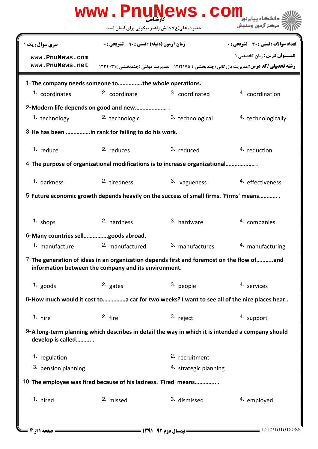|                                                                                                                                                   |                                                      | www.PnuNews.com           |                                                                                                                                      |  |  |  |
|---------------------------------------------------------------------------------------------------------------------------------------------------|------------------------------------------------------|---------------------------|--------------------------------------------------------------------------------------------------------------------------------------|--|--|--|
|                                                                                                                                                   | حضرت علی(ع): دانش راهبر نیکویی برای ایمان است        |                           | مركز آزمون وسنجش                                                                                                                     |  |  |  |
| <b>سری سوال :</b> یک ۱                                                                                                                            | <b>زمان آزمون (دقیقه) : تستی : ۹۰٪ تشریحی : 0</b>    |                           | <b>تعداد سوالات : تستی : 30 ٪ تشریحی : 0</b>                                                                                         |  |  |  |
| www.PnuNews.com<br>www.PnuNews.net                                                                                                                |                                                      |                           | <b>عنــوان درس:</b> زبان تخصصی ۱<br><b>رشته تحصیلی/کد درس: م</b> دیریت بازرگانی (چندبخشی ) ۱۲۱۲۱۷۵ - ،مدیریت دولتی (چندبخشی )۱۲۴۴۰۳۱ |  |  |  |
| 1-The company needs someone tothe whole operations.                                                                                               |                                                      |                           |                                                                                                                                      |  |  |  |
| 1. coordinates                                                                                                                                    | 2. coordinate                                        | 3. coordinated            | 4. coordination                                                                                                                      |  |  |  |
| 2-Modern life depends on good and new                                                                                                             |                                                      |                           |                                                                                                                                      |  |  |  |
| 1. technology                                                                                                                                     | <sup>2</sup> technologic                             | 3. technological          | 4. technologically                                                                                                                   |  |  |  |
| 3-He has been in rank for failing to do his work.                                                                                                 |                                                      |                           |                                                                                                                                      |  |  |  |
| 1. reduce                                                                                                                                         | 2. reduces                                           | 3. reduced                | 4. reduction                                                                                                                         |  |  |  |
| 4-The purpose of organizational modifications is to increase organizational                                                                       |                                                      |                           |                                                                                                                                      |  |  |  |
| 1. darkness                                                                                                                                       | 2. tiredness                                         | 3. vagueness              | 4. effectiveness                                                                                                                     |  |  |  |
| 5-Future economic growth depends heavily on the success of small firms. 'Firms' means                                                             |                                                      |                           |                                                                                                                                      |  |  |  |
| 1. shops                                                                                                                                          | 2. hardness                                          | 3. hardware               | 4. companies                                                                                                                         |  |  |  |
| 6-Many countries sellgoods abroad.                                                                                                                |                                                      |                           |                                                                                                                                      |  |  |  |
| 1. manufacture                                                                                                                                    | 2. manufactured                                      | 3. manufactures           | 4. manufacturing                                                                                                                     |  |  |  |
| 7-The generation of ideas in an organization depends first and foremost on the flow ofand<br>information between the company and its environment. |                                                      |                           |                                                                                                                                      |  |  |  |
| $1.$ goods                                                                                                                                        | 2. gates                                             | 3. people                 | 4. services                                                                                                                          |  |  |  |
| 8-How much would it cost to a car for two weeks? I want to see all of the nice places hear.                                                       |                                                      |                           |                                                                                                                                      |  |  |  |
| 1. hire                                                                                                                                           | 2. fire                                              | 3. reject                 | 4. support                                                                                                                           |  |  |  |
| 9-A long-term planning which describes in detail the way in which it is intended a company should<br>develop is called                            |                                                      |                           |                                                                                                                                      |  |  |  |
| <sup>1</sup> regulation                                                                                                                           |                                                      | <sup>2.</sup> recruitment |                                                                                                                                      |  |  |  |
| 3. pension planning                                                                                                                               |                                                      | 4. strategic planning     |                                                                                                                                      |  |  |  |
| 10-The employee was fired because of his laziness. 'Fired' means                                                                                  |                                                      |                           |                                                                                                                                      |  |  |  |
| 1. hired                                                                                                                                          | 2. missed                                            | 3. dismissed              | 4. employed                                                                                                                          |  |  |  |
| صفحه 11; 2                                                                                                                                        | <b>== نیمسال دوم 92-1391 <del>==========</del>==</b> |                           | 1010/101013088                                                                                                                       |  |  |  |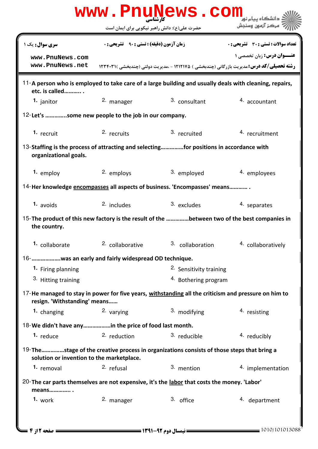| www.PnuNews.com                                                                                                                            |                                                   |                         |                                                                                                                                              |  |  |  |
|--------------------------------------------------------------------------------------------------------------------------------------------|---------------------------------------------------|-------------------------|----------------------------------------------------------------------------------------------------------------------------------------------|--|--|--|
|                                                                                                                                            | حضرت علی(ع): دانش راهبر نیکویی برای ایمان است     |                         | مركز آزمون وسنجش                                                                                                                             |  |  |  |
| <b>سری سوال :</b> یک ۱                                                                                                                     | <b>زمان آزمون (دقیقه) : تستی : ۹۰٪ تشریحی : 0</b> |                         | <b>تعداد سوالات : تستي : 30 ٪ تشريحي : 0</b>                                                                                                 |  |  |  |
| www.PnuNews.com<br>www.PnuNews.net                                                                                                         |                                                   |                         | <b>عنـــوان درس:</b> زبان تخصصي ۱<br><b>رشته تحصیلی/کد درس:</b> مدیریت بازرگانی (چندبخشی ) ۱۲۱۲۱۷۵ - .مدیریت دولتی (چندبخشی )۲۳۴۰۳۱ <b>۱</b> |  |  |  |
| 11-A person who is employed to take care of a large building and usually deals with cleaning, repairs,<br>etc. is called                   |                                                   |                         |                                                                                                                                              |  |  |  |
| 1. janitor                                                                                                                                 | 2. manager                                        | 3. consultant           | 4. accountant                                                                                                                                |  |  |  |
| 12-Let's some new people to the job in our company.                                                                                        |                                                   |                         |                                                                                                                                              |  |  |  |
| 1. recruit                                                                                                                                 | 2. recruits                                       | 3. recruited            | 4. recruitment                                                                                                                               |  |  |  |
| 13-Staffing is the process of attracting and selectingfor positions in accordance with<br>organizational goals.                            |                                                   |                         |                                                                                                                                              |  |  |  |
| 1. employ                                                                                                                                  | 2. employs                                        | 3. employed             | 4. employees                                                                                                                                 |  |  |  |
| 14-Her knowledge encompasses all aspects of business. 'Encompasses' means                                                                  |                                                   |                         |                                                                                                                                              |  |  |  |
| 1. avoids                                                                                                                                  | 2. includes                                       | 3. excludes             | 4. separates                                                                                                                                 |  |  |  |
| 15-The product of this new factory is the result of the between two of the best companies in<br>the country.                               |                                                   |                         |                                                                                                                                              |  |  |  |
| 1. collaborate                                                                                                                             | 2. collaborative                                  | 3. collaboration        | 4. collaboratively                                                                                                                           |  |  |  |
| 16-      was an early and fairly widespread OD technique.                                                                                  |                                                   |                         |                                                                                                                                              |  |  |  |
| 1. Firing planning                                                                                                                         |                                                   | 2. Sensitivity training |                                                                                                                                              |  |  |  |
| 3. Hitting training                                                                                                                        |                                                   | 4. Bothering program    |                                                                                                                                              |  |  |  |
| 17-He managed to stay in power for five years, withstanding all the criticism and pressure on him to<br>resign. 'Withstanding' means       |                                                   |                         |                                                                                                                                              |  |  |  |
| 1. changing                                                                                                                                | 2. varying                                        | 3. modifying            | 4. resisting                                                                                                                                 |  |  |  |
| 18-We didn't have anyin the price of food last month.                                                                                      |                                                   |                         |                                                                                                                                              |  |  |  |
| 1. reduce                                                                                                                                  | 2. reduction                                      | 3. reducible            | 4. reducibly                                                                                                                                 |  |  |  |
| 19-The    stage of the creative process in organizations consists of those steps that bring a<br>solution or invention to the marketplace. |                                                   |                         |                                                                                                                                              |  |  |  |
| 1. removal                                                                                                                                 | 2. refusal                                        | 3. mention              | 4. implementation                                                                                                                            |  |  |  |
| 20-The car parts themselves are not expensive, it's the labor that costs the money. 'Labor'<br>means                                       |                                                   |                         |                                                                                                                                              |  |  |  |
| 1. work                                                                                                                                    | 2. manager                                        | 3. office               | 4. department                                                                                                                                |  |  |  |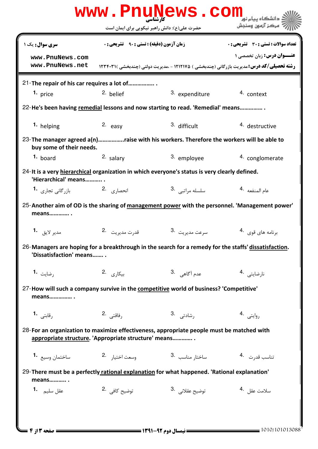|                                                                                                                                                   |                                                   | www.PnuNews.com                               | دانشگاه سام نو <mark>ر</mark>                                                                           |  |  |  |
|---------------------------------------------------------------------------------------------------------------------------------------------------|---------------------------------------------------|-----------------------------------------------|---------------------------------------------------------------------------------------------------------|--|--|--|
|                                                                                                                                                   |                                                   | حضرت علی(ع): دانش راهبر نیکویی برای ایمان است | ' مرڪز آزمون وسنڊش                                                                                      |  |  |  |
| سری سوال: یک ۱                                                                                                                                    | <b>زمان آزمون (دقیقه) : تستی : ۹۰٪ تشریحی : 0</b> |                                               | <b>تعداد سوالات : تستی : 30 ٪ تشریحی : 0</b>                                                            |  |  |  |
| www.PnuNews.com                                                                                                                                   |                                                   |                                               | عنــوان درس: زبان تخصصی ۱                                                                               |  |  |  |
| www.PnuNews.net                                                                                                                                   |                                                   |                                               | <b>رشته تحصیلی/کد درس:</b> مدیریت بازرگانی (چندبخشی ) ۱۲۱۲۱۷۵ - ،مدیریت دولتی (چندبخشی )۲۳۴۰۳۱ <b>۱</b> |  |  |  |
| 21-The repair of his car requires a lot of                                                                                                        |                                                   |                                               |                                                                                                         |  |  |  |
| 1. price                                                                                                                                          | 2. belief                                         | 3. expenditure                                | 4. context                                                                                              |  |  |  |
| 22-He's been having remedial lessons and now starting to read. 'Remedial' means                                                                   |                                                   |                                               |                                                                                                         |  |  |  |
| 1. helping                                                                                                                                        | 2. easy                                           | 3. difficult                                  | 4. destructive                                                                                          |  |  |  |
| 23- The manager agreed a(n)raise with his workers. Therefore the workers will be able to<br>buy some of their needs.                              |                                                   |                                               |                                                                                                         |  |  |  |
| 1. board                                                                                                                                          | $2.$ salary                                       | 3. employee                                   | 4. conglomerate                                                                                         |  |  |  |
| 24-It is a very hierarchical organization in which everyone's status is very clearly defined.<br>'Hierarchical' means                             |                                                   |                                               |                                                                                                         |  |  |  |
| انحصا <sub>د</sub> ی <sup>2</sup> . 2 بازرگانی تجاری <b>1.</b>                                                                                    |                                                   | سلسله مراتبى 3.                               | عام المنفعه <sup>.4</sup>                                                                               |  |  |  |
| means                                                                                                                                             |                                                   |                                               | 25-Another aim of OD is the sharing of management power with the personnel. 'Management power'          |  |  |  |
|                                                                                                                                                   | قدرت مديريت 2.                                    | سرعت مديريت .3                                | برنامه های قوی 4.                                                                                       |  |  |  |
| 26-Managers are hoping for a breakthrough in the search for a remedy for the staffs' dissatisfaction.<br>'Dissatisfaction' means                  |                                                   |                                               |                                                                                                         |  |  |  |
| رضايت 1.                                                                                                                                          | 2. بیکاری                                         | عدم آگاه <i>ي .</i> 3                         | نارضايتى 4.                                                                                             |  |  |  |
| 27-How will such a company survive in the competitive world of business? 'Competitive'<br>means                                                   |                                                   |                                               |                                                                                                         |  |  |  |
| رقابتی 1.                                                                                                                                         | رفاقتى .2                                         | رشادتى .3                                     | روايتى 4.                                                                                               |  |  |  |
| 28-For an organization to maximize effectiveness, appropriate people must be matched with<br>appropriate structure. 'Appropriate structure' means |                                                   |                                               |                                                                                                         |  |  |  |
| ساختمان وسيع <b>1</b> ۰                                                                                                                           | وسعت اختيار 2.                                    | 3. ساختار مناسب                               | تناسب قدرت 4.                                                                                           |  |  |  |
| 29-There must be a perfectly rational explanation for what happened. 'Rational explanation'<br>means                                              |                                                   |                                               |                                                                                                         |  |  |  |
| عقل سليم <b>1.</b>                                                                                                                                | توضيح كافي 2.                                     | توضيح عقلاني . 3                              | سلامت عقل 4.                                                                                            |  |  |  |
| صفحه 13 ; 4                                                                                                                                       |                                                   | = نیمسال دوم ۹۲-۱۳۹۱ <del>-</del>             | = 1010/101013088                                                                                        |  |  |  |